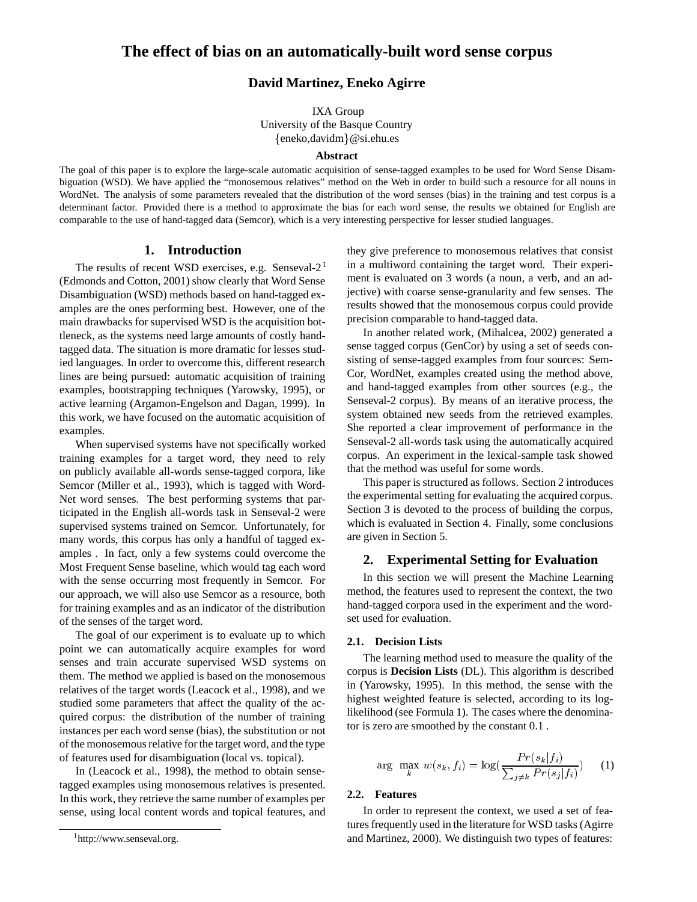# **David Martinez, Eneko Agirre**

IXA Group University of the Basque Country eneko,davidm-@si.ehu.es

### **Abstract**

The goal of this paper is to explore the large-scale automatic acquisition of sense-tagged examples to be used for Word Sense Disambiguation (WSD). We have applied the "monosemous relatives" method on the Web in order to build such a resource for all nouns in WordNet. The analysis of some parameters revealed that the distribution of the word senses (bias) in the training and test corpus is a determinant factor. Provided there is a method to approximate the bias for each word sense, the results we obtained for English are comparable to the use of hand-tagged data (Semcor), which is a very interesting perspective for lesser studied languages.

# **1. Introduction**

The results of recent WSD exercises, e.g. Senseval- $2<sup>1</sup>$ (Edmonds and Cotton, 2001) show clearly that Word Sense Disambiguation (WSD) methods based on hand-tagged examples are the ones performing best. However, one of the main drawbacks for supervised WSD is the acquisition bottleneck, as the systems need large amounts of costly handtagged data. The situation is more dramatic for lesses studied languages. In order to overcome this, different research lines are being pursued: automatic acquisition of training examples, bootstrapping techniques (Yarowsky, 1995), or active learning (Argamon-Engelson and Dagan, 1999). In this work, we have focused on the automatic acquisition of examples.

When supervised systems have not specifically worked training examples for a target word, they need to rely on publicly available all-words sense-tagged corpora, like Semcor (Miller et al., 1993), which is tagged with Word-Net word senses. The best performing systems that participated in the English all-words task in Senseval-2 were supervised systems trained on Semcor. Unfortunately, for many words, this corpus has only a handful of tagged examples . In fact, only a few systems could overcome the Most Frequent Sense baseline, which would tag each word with the sense occurring most frequently in Semcor. For our approach, we will also use Semcor as a resource, both for training examples and as an indicator of the distribution of the senses of the target word.

The goal of our experiment is to evaluate up to which point we can automatically acquire examples for word senses and train accurate supervised WSD systems on them. The method we applied is based on the monosemous relatives of the target words (Leacock et al., 1998), and we studied some parameters that affect the quality of the acquired corpus: the distribution of the number of training instances per each word sense (bias), the substitution or not of the monosemous relative for the target word, and the type of features used for disambiguation (local vs. topical).

In (Leacock et al., 1998), the method to obtain sensetagged examples using monosemous relatives is presented. In this work, they retrieve the same number of examples per sense, using local content words and topical features, and

they give preference to monosemous relatives that consist in a multiword containing the target word. Their experiment is evaluated on 3 words (a noun, a verb, and an adjective) with coarse sense-granularity and few senses. The results showed that the monosemous corpus could provide precision comparable to hand-tagged data.

In another related work, (Mihalcea, 2002) generated a sense tagged corpus (GenCor) by using a set of seeds consisting of sense-tagged examples from four sources: Sem-Cor, WordNet, examples created using the method above, and hand-tagged examples from other sources (e.g., the Senseval-2 corpus). By means of an iterative process, the system obtained new seeds from the retrieved examples. She reported a clear improvement of performance in the Senseval-2 all-words task using the automatically acquired corpus. An experiment in the lexical-sample task showed that the method was useful for some words.

This paper is structured as follows. Section 2 introduces the experimental setting for evaluating the acquired corpus. Section 3 is devoted to the process of building the corpus, which is evaluated in Section 4. Finally, some conclusions are given in Section 5.

## **2. Experimental Setting for Evaluation**

In this section we will present the Machine Learning method, the features used to represent the context, the two hand-tagged corpora used in the experiment and the wordset used for evaluation.

### **2.1. Decision Lists**

The learning method used to measure the quality of the corpus is **Decision Lists** (DL). This algorithm is described in (Yarowsky, 1995). In this method, the sense with the highest weighted feature is selected, according to its loglikelihood (see Formula 1). The cases where the denominator is zero are smoothed by the constant 0.1 .

$$
\arg \max_{k} w(s_k, f_i) = \log(\frac{Pr(s_k|f_i)}{\sum_{j \neq k} Pr(s_j|f_i)}) \tag{1}
$$

# **2.2. Features**

In order to represent the context, we used a set of features frequently used in the literature for WSD tasks (Agirre and Martinez, 2000). We distinguish two types of features:

<sup>1</sup> http://www.senseval.org.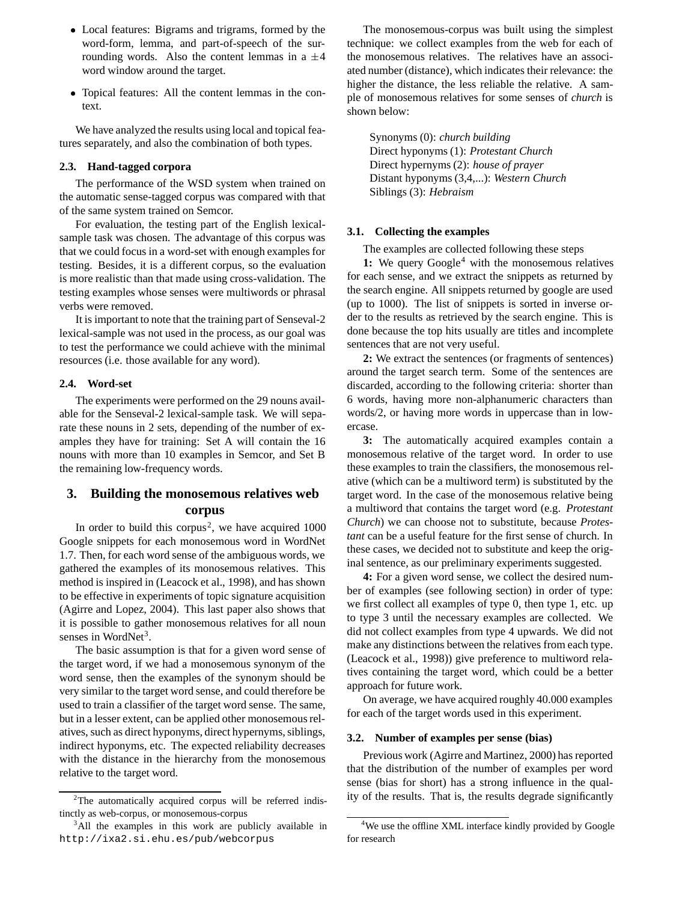- Local features: Bigrams and trigrams, formed by the word-form, lemma, and part-of-speech of the surrounding words. Also the content lemmas in a  $\pm 4$ word window around the target.
- Topical features: All the content lemmas in the context.

We have analyzed the results using local and topical features separately, and also the combination of both types.

# **2.3. Hand-tagged corpora**

The performance of the WSD system when trained on the automatic sense-tagged corpus was compared with that of the same system trained on Semcor.

For evaluation, the testing part of the English lexicalsample task was chosen. The advantage of this corpus was that we could focus in a word-set with enough examples for testing. Besides, it is a different corpus, so the evaluation is more realistic than that made using cross-validation. The testing examples whose senses were multiwords or phrasal verbs were removed.

It is important to note that the training part of Senseval-2 lexical-sample was not used in the process, as our goal was to test the performance we could achieve with the minimal resources (i.e. those available for any word).

#### **2.4. Word-set**

The experiments were performed on the 29 nouns available for the Senseval-2 lexical-sample task. We will separate these nouns in 2 sets, depending of the number of examples they have for training: Set A will contain the 16 nouns with more than 10 examples in Semcor, and Set B the remaining low-frequency words.

# **3. Building the monosemous relatives web corpus**

In order to build this corpus<sup>2</sup>, we have acquired  $1000$ Google snippets for each monosemous word in WordNet 1.7. Then, for each word sense of the ambiguous words, we gathered the examples of its monosemous relatives. This method is inspired in (Leacock et al., 1998), and has shown to be effective in experiments of topic signature acquisition (Agirre and Lopez, 2004). This last paper also shows that it is possible to gather monosemous relatives for all noun senses in WordNet<sup>3</sup>.

The basic assumption is that for a given word sense of the target word, if we had a monosemous synonym of the word sense, then the examples of the synonym should be very similar to the target word sense, and could therefore be used to train a classifier of the target word sense. The same, but in a lesser extent, can be applied other monosemous relatives, such as direct hyponyms, direct hypernyms, siblings, indirect hyponyms, etc. The expected reliability decreases with the distance in the hierarchy from the monosemous relative to the target word.

The monosemous-corpus was built using the simplest technique: we collect examples from the web for each of the monosemous relatives. The relatives have an associated number (distance), which indicates their relevance: the higher the distance, the less reliable the relative. A sample of monosemous relatives for some senses of *church* is shown below:

Synonyms (0): *church building* Direct hyponyms (1): *Protestant Church* Direct hypernyms (2): *house of prayer* Distant hyponyms (3,4,...): *Western Church* Siblings (3): *Hebraism*

## **3.1. Collecting the examples**

The examples are collected following these steps

1: We query Google<sup>4</sup> with the monosemous relatives for each sense, and we extract the snippets as returned by the search engine. All snippets returned by google are used (up to 1000). The list of snippets is sorted in inverse order to the results as retrieved by the search engine. This is done because the top hits usually are titles and incomplete sentences that are not very useful.

**2:** We extract the sentences (or fragments of sentences) around the target search term. Some of the sentences are discarded, according to the following criteria: shorter than 6 words, having more non-alphanumeric characters than words/2, or having more words in uppercase than in lowercase.

**3:** The automatically acquired examples contain a monosemous relative of the target word. In order to use these examples to train the classifiers, the monosemous relative (which can be a multiword term) is substituted by the target word. In the case of the monosemous relative being a multiword that contains the target word (e.g. *Protestant Church*) we can choose not to substitute, because *Protestant* can be a useful feature for the first sense of church. In these cases, we decided not to substitute and keep the original sentence, as our preliminary experiments suggested.

**4:** For a given word sense, we collect the desired number of examples (see following section) in order of type: we first collect all examples of type 0, then type 1, etc. up to type 3 until the necessary examples are collected. We did not collect examples from type 4 upwards. We did not make any distinctions between the relatives from each type. (Leacock et al., 1998)) give preference to multiword relatives containing the target word, which could be a better approach for future work.

On average, we have acquired roughly 40.000 examples for each of the target words used in this experiment.

### **3.2. Number of examples per sense (bias)**

Previous work (Agirre and Martinez, 2000) has reported that the distribution of the number of examples per word sense (bias for short) has a strong influence in the quality of the results. That is, the results degrade significantly

<sup>&</sup>lt;sup>2</sup>The automatically acquired corpus will be referred indistinctly as web-corpus, or monosemous-corpus

<sup>&</sup>lt;sup>3</sup>All the examples in this work are publicly available in http://ixa2.si.ehu.es/pub/webcorpus

<sup>&</sup>lt;sup>4</sup>We use the offline XML interface kindly provided by Google for research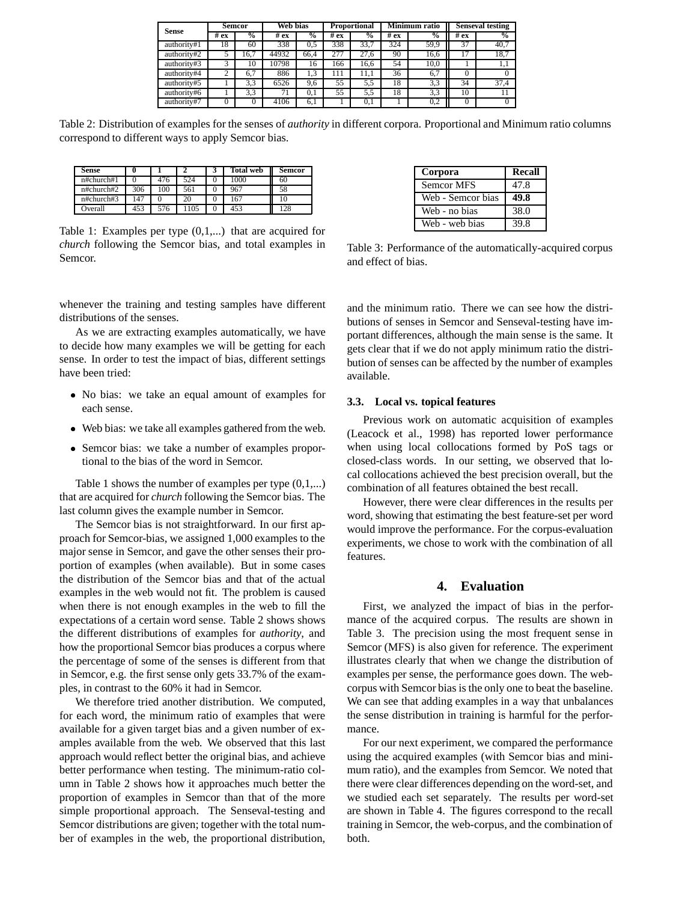| <b>Sense</b> | <b>Semcor</b> |               | Web bias |                          | <b>Proportional</b> |                          | Minimum ratio |               | <b>Senseval testing</b> |               |
|--------------|---------------|---------------|----------|--------------------------|---------------------|--------------------------|---------------|---------------|-------------------------|---------------|
|              | # $ex$        | $\frac{1}{2}$ | # $ex$   | $\overline{\mathcal{C}}$ | # $ex$              | $\overline{\mathcal{C}}$ | #ex           | $\frac{0}{0}$ | #ex                     | $\frac{6}{6}$ |
| authority#1  | 18            | 60            | 338      | 0.5                      | 338                 | 33.7                     | 324           | 59.9          | 37                      | 40,7          |
| authority#2  |               | 16,7          | 44932    | 66.4                     | 277                 | 27.6                     | 90            | 16,6          | 17                      | 18,7          |
| authority#3  |               | 10            | 10798    | 16                       | 166                 | 16.6                     | 54            | 10.0          |                         | 1,1           |
| authority#4  |               | 6.7           | 886      | 1.3                      | 111                 | 11.1                     | 36            | 6.7           | 0                       |               |
| authority#5  |               | 3.3           | 6526     | 9,6                      | 55                  | 5.5                      | 18            | 3,3           | 34                      | 37,4          |
| authority#6  |               | 3.3           | 71       | 0.1                      | 55                  | 5.5                      | 18            | 3,3           | 10                      |               |
| authority#7  |               |               | 4106     | 6.1                      |                     | 0.1                      |               | 0,2           |                         |               |

Table 2: Distribution of examples for the senses of *authority* in different corpora. Proportional and Minimum ratio columns correspond to different ways to apply Semcor bias.

| Sense         |     |     |     | <b>Total web</b> | <b>Semcor</b> |
|---------------|-----|-----|-----|------------------|---------------|
| $n#$ church#1 |     | 476 | 524 | 1000             | 60            |
| $n#$ church#2 | 306 | 100 | 561 | 967              | 58            |
| n#church#3    | 147 |     | 20  | 167              | 10            |
| Overall       | 453 | 576 | 105 | 453              | 128           |

Table 1: Examples per type (0,1,...) that are acquired for *church* following the Semcor bias, and total examples in Semcor.

whenever the training and testing samples have different distributions of the senses.

As we are extracting examples automatically, we have to decide how many examples we will be getting for each sense. In order to test the impact of bias, different settings have been tried:

- No bias: we take an equal amount of examples for each sense.
- Web bias: we take all examples gathered from the web.
- Semcor bias: we take a number of examples proportional to the bias of the word in Semcor.

Table 1 shows the number of examples per type  $(0,1,...)$ that are acquired for *church* following the Semcor bias. The last column gives the example number in Semcor.

The Semcor bias is not straightforward. In our first approach for Semcor-bias, we assigned 1,000 examples to the major sense in Semcor, and gave the other senses their proportion of examples (when available). But in some cases the distribution of the Semcor bias and that of the actual examples in the web would not fit. The problem is caused when there is not enough examples in the web to fill the expectations of a certain word sense. Table 2 shows shows the different distributions of examples for *authority*, and how the proportional Semcor bias produces a corpus where the percentage of some of the senses is different from that in Semcor, e.g. the first sense only gets 33.7% of the examples, in contrast to the 60% it had in Semcor.

We therefore tried another distribution. We computed, for each word, the minimum ratio of examples that were available for a given target bias and a given number of examples available from the web. We observed that this last approach would reflect better the original bias, and achieve better performance when testing. The minimum-ratio column in Table 2 shows how it approaches much better the proportion of examples in Semcor than that of the more simple proportional approach. The Senseval-testing and Semcor distributions are given; together with the total number of examples in the web, the proportional distribution,

| Corpora           | Recall |
|-------------------|--------|
| <b>Semcor MFS</b> | 47.8   |
| Web - Semcor bias | 49.8   |
| Web - no bias     | 38.0   |
| Web - web bias    | 39.8   |

Table 3: Performance of the automatically-acquired corpus and effect of bias.

and the minimum ratio. There we can see how the distributions of senses in Semcor and Senseval-testing have important differences, although the main sense is the same. It gets clear that if we do not apply minimum ratio the distribution of senses can be affected by the number of examples available.

## **3.3. Local vs. topical features**

Previous work on automatic acquisition of examples (Leacock et al., 1998) has reported lower performance when using local collocations formed by PoS tags or closed-class words. In our setting, we observed that local collocations achieved the best precision overall, but the combination of all features obtained the best recall.

However, there were clear differences in the results per word, showing that estimating the best feature-set per word would improve the performance. For the corpus-evaluation experiments, we chose to work with the combination of all features.

# **4. Evaluation**

First, we analyzed the impact of bias in the performance of the acquired corpus. The results are shown in Table 3. The precision using the most frequent sense in Semcor (MFS) is also given for reference. The experiment illustrates clearly that when we change the distribution of examples per sense, the performance goes down. The webcorpus with Semcor bias is the only one to beat the baseline. We can see that adding examples in a way that unbalances the sense distribution in training is harmful for the performance.

For our next experiment, we compared the performance using the acquired examples (with Semcor bias and minimum ratio), and the examples from Semcor. We noted that there were clear differences depending on the word-set, and we studied each set separately. The results per word-set are shown in Table 4. The figures correspond to the recall training in Semcor, the web-corpus, and the combination of both.